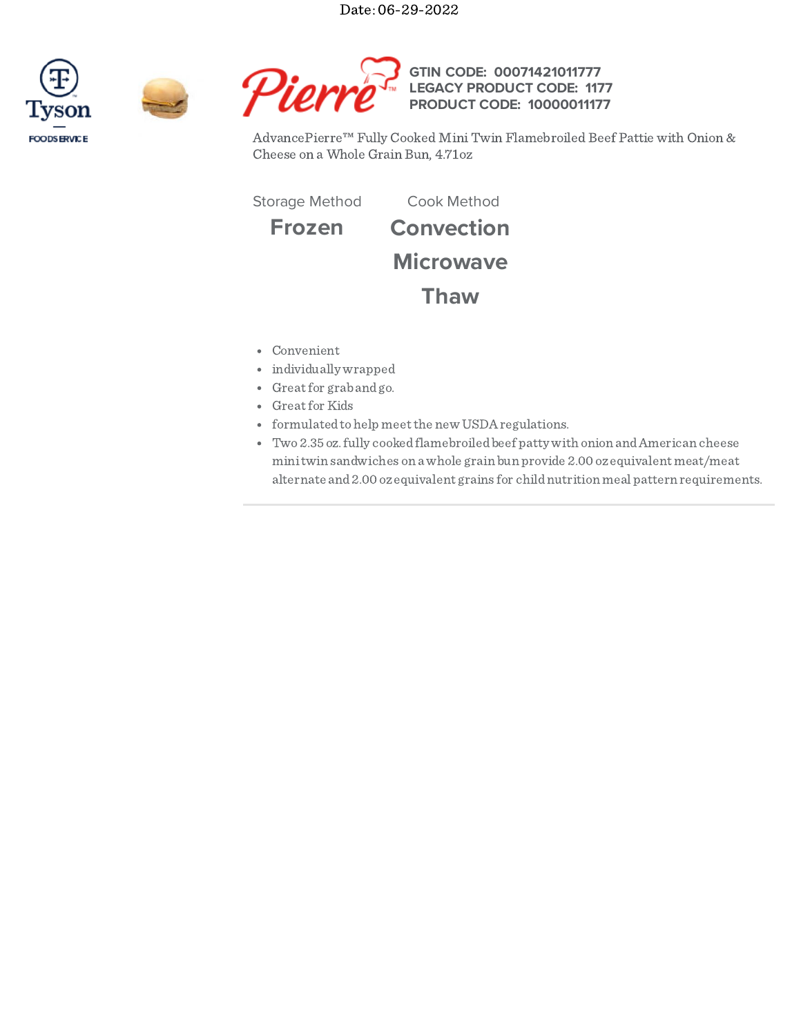Date: 06-29-2022







AdvancePierre™ Fully Cooked Mini Twin Flamebroiled Beef Pattie with Onion & Cheese on a Whole Grain Bun, 4.71oz

Storage Method Cook Method

**Frozen Convection**

**Microwave**

**Thaw**

- Convenient
- individually wrapped
- Greatfor grabandgo.
- Greatfor Kids
- formulatedtohelp meetthe new USDAregulations.
- Two2.35 oz.fully cookedflamebroiledbeef patty with onion andAmerican cheese minitwin sandwiches on a whole grain bun provide 2.00 ozequivalent meat/meat alternate and2.00 ozequivalent grains for childnutrition meal pattern requirements.